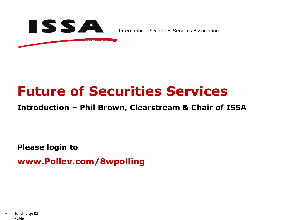

International Securities Services Association

# **Future of Securities Services**

**Introduction – Phil Brown, Clearstream & Chair of ISSA**

**Please login to**

**www.Pollev.com/8wpolling**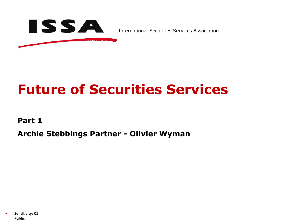

International Securities Services Association

# **Future of Securities Services**

**Part 1**

**Archie Stebbings Partner - Olivier Wyman**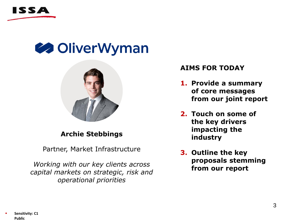





## **Archie Stebbings**

Partner, Market Infrastructure

*Working with our key clients across capital markets on strategic, risk and operational priorities*

### **AIMS FOR TODAY**

- **1. Provide a summary of core messages from our joint report**
- **2. Touch on some of the key drivers impacting the industry**
- **3. Outline the key proposals stemming from our report**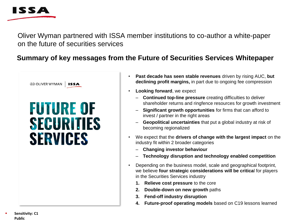

Oliver Wyman partnered with ISSA member institutions to co-author a white-paper on the future of securities services

## **Summary of key messages from the Future of Securities Services Whitepaper**



- **Past decade has seen stable revenues** driven by rising AUC, **but declining profit margins,** in part due to ongoing fee compression
- **Looking forward**, we expect
	- **Continued top-line pressure** creating difficulties to deliver shareholder returns and ringfence resources for growth investment
	- **Significant growth opportunities** for firms that can afford to invest / partner in the right areas
	- **Geopolitical uncertainties** that put a global industry at risk of becoming regionalized
- We expect that the **drivers of change with the largest impact** on the industry fit within 2 broader categories
	- **Changing investor behaviour**
	- **Technology disruption and technology enabled competition**
- Depending on the business model, scale and geographical footprint, we believe **four strategic considerations will be critica**l for players in the Securities Services industry
	- **1. Relieve cost pressure** to the core
	- **2. Double-down on new growth** paths
	- **3. Fend-off industry disruption**
	- **4. Future-proof operating models** based on C19 lessons learned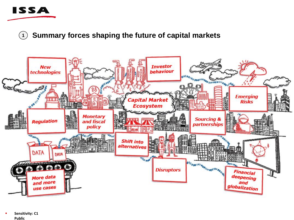

**<sup>1</sup> Summary forces shaping the future of capital markets**



Sensitivity: C1 **Public**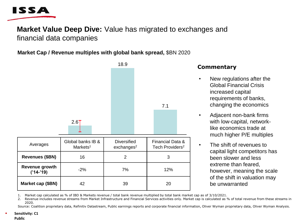

## **Market Value Deep Dive:** Value has migrated to exchanges and financial data companies

### **Market Cap / Revenue multiples with global bank spread,** \$BN 2020

|                               |                      | 18.9                   |                             |
|-------------------------------|----------------------|------------------------|-----------------------------|
|                               |                      |                        |                             |
|                               |                      |                        |                             |
|                               |                      |                        |                             |
|                               |                      |                        |                             |
|                               |                      |                        | 7.1                         |
|                               |                      |                        |                             |
|                               |                      |                        |                             |
|                               | $2.6$ T              |                        |                             |
|                               |                      |                        |                             |
| Averages                      | Global banks IB &    | <b>Diversified</b>     | Financial Data &            |
|                               | Markets <sup>1</sup> | exchanges <sup>2</sup> | Tech Providers <sup>2</sup> |
| <b>Revenues (\$BN)</b>        | 16                   | 2                      | 3                           |
| Revenue growth<br>$('14-'19)$ | $-2%$                | 7%                     | 12%                         |
| Market cap (\$BN)             | 42                   | 39                     | 20                          |

### **Commentary**

- New regulations after the Global Financial Crisis increased capital requirements of banks, changing the economics
- Adjacent non-bank firms with low-capital, networklike economics trade at much higher P/E multiples
- The shift of revenues to capital light competitors has been slower and less extreme than feared, however, meaning the scale of the shift in valuation may be unwarranted

1. Market cap calculated as % of IBD & Markets revenue / total bank revenue multiplied by total bank market cap as of 3/10/2021.

2. Revenue includes revenue streams from Market Infrastructure and Financial Services activities only. Market cap is calculated as % of total revenue from these streams in 2020.

Source: Coalition proprietary data, Refinitiv Datastream, Public earnings reports and corporate financial information, Oliver Wyman proprietary data, Oliver Wyman Analysis.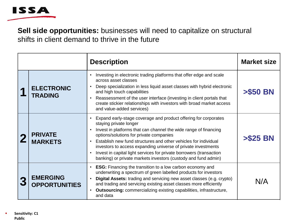

**Sell side opportunities:** businesses will need to capitalize on structural shifts in client demand to thrive in the future

|                                         | <b>Description</b>                                                                                                                                                                                                                                                                                                                                                                                                                                                                    | <b>Market size</b> |
|-----------------------------------------|---------------------------------------------------------------------------------------------------------------------------------------------------------------------------------------------------------------------------------------------------------------------------------------------------------------------------------------------------------------------------------------------------------------------------------------------------------------------------------------|--------------------|
| <b>ELECTRONIC</b><br><b>TRADING</b>     | Investing in electronic trading platforms that offer edge and scale<br>across asset classes<br>Deep specialization in less liquid asset classes with hybrid electronic<br>and high touch capabilities<br>Reassessment of the user interface (investing in client portals that<br>create stickier relationships with investors with broad market access<br>and value-added services)                                                                                                   | <b>&gt;\$50 BN</b> |
| <b>PRIVATE</b><br><b>MARKETS</b>        | Expand early-stage coverage and product offering for corporates<br>staying private longer<br>Invest in platforms that can channel the wide range of financing<br>options/solutions for private companies<br>Establish new fund structures and other vehicles for individual<br>investors to access expanding universe of private investments<br>Invest in capital light services for private borrowers (transaction<br>banking) or private markets investors (custody and fund admin) | <b>&gt;\$25 BN</b> |
| <b>EMERGING</b><br><b>OPPORTUNITIES</b> | <b>ESG:</b> Financing the transition to a low carbon economy and<br>$\bullet$<br>underwriting a spectrum of green labelled products for investors<br>Digital Assets: trading and servicing new asset classes (e.g. crypto)<br>and trading and servicing existing asset classes more efficiently<br><b>Outsourcing:</b> commercializing existing capabilities, infrastructure,<br>٠<br>and data                                                                                        | N/A                |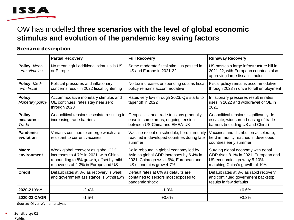

## OW has modelled **three scenarios with the level of global economic stimulus and evolution of the pandemic key swing factors**

#### **Scenario description**

|                                     | <b>Partial Recovery</b>                                                                                                                                       | <b>Full Recovery</b>                                                                                                                                 | <b>Runaway Recovery</b>                                                                                                                    |
|-------------------------------------|---------------------------------------------------------------------------------------------------------------------------------------------------------------|------------------------------------------------------------------------------------------------------------------------------------------------------|--------------------------------------------------------------------------------------------------------------------------------------------|
| Policy: Near-<br>term stimulus      | No meaningful additional stimulus is US<br>or Europe                                                                                                          | Some moderate fiscal stimulus passed in<br>US and Europe in 2021-22                                                                                  | US passes a large infrastructure bill in<br>2021-22, with European countries also<br>approving large fiscal stimulus                       |
| Policy: Med-<br>term fiscal         | Political pressures and inflationary<br>concerns result in 2022 fiscal tightening                                                                             | No tax increases or spending cuts as fiscal<br>policy remains accommodative                                                                          | Fiscal policy remains accommodative<br>through 2023 in drive to full employment                                                            |
| Policy:<br>Monetary policy          | Accommodative monetary stimulus and<br>QE continues, rates stay near zero<br>through 2023                                                                     | Rates very low through 2023, QE starts to<br>taper off in 2022                                                                                       | Inflationary pressures result in rates<br>rises in 2022 and withdrawal of QE in<br>2021                                                    |
| <b>Policy</b><br>measures:<br>Trade | Geopolitical tensions escalate resulting in<br>increasing trade barriers                                                                                      | Geopolitical and trade tensions gradually<br>ease in some areas, ongoing tension<br>between US-China and EMEA-UK                                     | Geopolitical tensions significantly de-<br>escalate, widespread easing of trade<br>barriers (including US and China)                       |
| Pandemic<br>evolution               | Variants continue to emerge which are<br>resistant to current vaccines                                                                                        | Vaccine rollout on schedule, herd immunity<br>reached in developed countries during late<br>summer                                                   | Vaccines and distribution accelerate,<br>herd immunity reached in developed<br>countries early summer                                      |
| <b>Macro</b><br>environment         | Weak global recovery as global GDP<br>increases to 4.7% in 2021, with China<br>rebounding to 8% growth, offset by mild<br>recoveries of 2-3% in Europe and US | Solid rebound in global economy led by<br>Asia as global GDP increases by 6.4% in<br>2021; China grows at 9%, European and<br>US economies grow 4-7% | Surging global economy with gobal<br>GDP rises 8.1% in 2021; European and<br>US economies grow by 5-10%,<br>matching China's growth at 10% |
| <b>Credit</b>                       | Default rates at 8% as recovery is weak<br>and government assistance is withdrawn                                                                             | Default rates at 6% as defaults are<br>contained to sectors most exposed to<br>pandemic shock                                                        | Default rates at 3% as rapid recovery<br>and continued government backstop<br>results in few defaults                                      |
| 2020-21 YoY                         | $-2.4%$                                                                                                                                                       | $-1.0%$                                                                                                                                              | $+0.6%$                                                                                                                                    |
| 2020-23 CAGR                        | $-1.5%$                                                                                                                                                       | $+0.6%$                                                                                                                                              | $+3.3%$                                                                                                                                    |

Source: Oliver Wyman analysis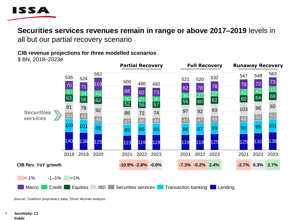

## **Securities services revenues remain in range or above 2017–2019** levels in

all but our partial recovery scenario

### **CIB revenue projections for three modelled scenarios**

\$ BN, 2018–2023e



Source: Coalition proprietary data, Oliver Wyman analysis

Sensitivity: C1 **Public**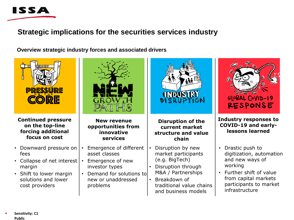

## **Strategic implications for the securities services industry**

**Overview strategic industry forces and associated drivers** 



#### **Continued pressure on the top-line forcing additional focus on cost**

- Downward pressure on fees
- Collapse of net interest margin
- Shift to lower margin solutions and lower cost providers



**New revenue opportunities from innovative services**

- Emergence of different asset classes
- Emergence of new investor types
- Demand for solutions to new or unaddressed problems



#### **Disruption of the current market structure and value chain**

- Disruption by new market participants (e.g. BigTech)
- Disruption through M&A / Partnerships
- Breakdown of traditional value chains and business models



#### **Industry responses to COVID-19 and earlylessons learned**

- Drastic push to digitization, automation and new ways of working
- Further shift of value from capital markets participants to market infrastructure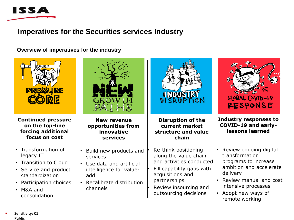

## **Imperatives for the Securities services Industry**

**Overview of imperatives for the industry**



**Continued pressure on the top-line forcing additional focus on cost**

- Transformation of legacy IT
- Transition to Cloud
- Service and product standardization
- Participation choices
- M&A and consolidation



**New revenue opportunities from innovative services**

- Build new products and services
- Use data and artificial intelligence for valueadd
- Recalibrate distribution channels



- Re-think positioning along the value chain and activities conducted
- Fill capability gaps with acquisitions and partnerships
- Review insourcing and outsourcing decisions



**Industry responses to COVID-19 and earlylessons learned**

- Review ongoing digital transformation programs to increase ambition and accelerate delivery
- Review manual and cost intensive processes
- Adopt new ways of remote working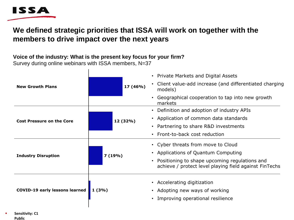

## **We defined strategic priorities that ISSA will work on together with the members to drive impact over the next years**

### **Voice of the industry: What is the present key focus for your firm?**

Survey during online webinars with ISSA members, N=37

| <b>New Growth Plans</b>               | 17 (46%) | • Private Markets and Digital Assets<br>Client value-add increase (and differentiated charging<br>models)<br>Geographical cooperation to tap into new growth<br>markets              |
|---------------------------------------|----------|--------------------------------------------------------------------------------------------------------------------------------------------------------------------------------------|
| <b>Cost Pressure on the Core</b>      | 12 (32%) | Definition and adoption of industry APIs<br>• Application of common data standards<br>• Partnering to share R&D investments<br>• Front-to-back cost reduction                        |
| <b>Industry Disruption</b>            | 7(19%)   | • Cyber threats from move to Cloud<br>• Applications of Quantum Computing<br>Positioning to shape upcoming regulations and<br>achieve / protect level playing field against FinTechs |
| <b>COVID-19 early lessons learned</b> | 1(3%)    | • Accelerating digitization<br>• Adopting new ways of working<br>Improving operational resilience                                                                                    |

Sensitivity: C1 **Public**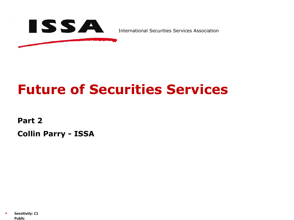

International Securities Services Association

# **Future of Securities Services**

**Part 2**

**Collin Parry - ISSA**

Sensitivity: C1 **Public**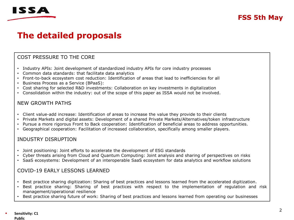

## **The detailed proposals**

#### COST PRESSURE TO THE CORE

- Industry APIs: Joint development of standardized industry APIs for core industry processes
- Common data standards: that facilitate data analytics
- Front-to-back ecosystem cost reduction: Identification of areas that lead to inefficiencies for all
- Business Process as a Service (BPaaS):
- Cost sharing for selected R&D investments: Collaboration on key investments in digitalization
- Consolidation within the industry: out of the scope of this paper as ISSA would not be involved.

#### NEW GROWTH PATHS

- Client value-add increase: Identification of areas to increase the value they provide to their clients
- Private Markets and digital assets: Development of a shared Private Markets/Alternatives/token infrastructure
- Pursue a more rigorous Front to Back cooperation: Identification of beneficial areas to address opportunities.
- Geographical cooperation: Facilitation of increased collaboration, specifically among smaller players.

#### INDUSTRY DISRUPTION

- Joint positioning: Joint efforts to accelerate the development of ESG standards
- Cyber threats arising from Cloud and Quantum Computing: Joint analysis and sharing of perspectives on risks
- SaaS ecosystems: Development of an interoperable SaaS ecosystem for data analytics and workflow solutions

#### COVID-19 EARLY LESSONS LEARNED

- Best practice sharing digitization: Sharing of best practices and lessons learned from the accelerated digitization.
- Best practice sharing: Sharing of best practices with respect to the implementation of regulation and risk management/operational resilience
- Best practice sharing future of work: Sharing of best practices and lessons learned from operating our businesses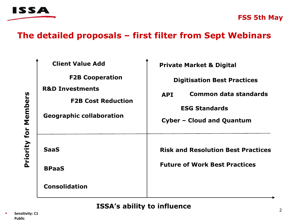

## **The detailed proposals – first filter from Sept Webinars**

| <b>Client Value Add</b>                                                                                              | <b>Private Market &amp; Digital</b>        |  |
|----------------------------------------------------------------------------------------------------------------------|--------------------------------------------|--|
| <b>F2B Cooperation</b><br><b>R&amp;D Investments</b><br><b>F2B Cost Reduction</b><br><b>Geographic collaboration</b> | <b>Digitisation Best Practices</b>         |  |
|                                                                                                                      | <b>Common data standards</b><br><b>API</b> |  |
|                                                                                                                      | <b>ESG Standards</b>                       |  |
|                                                                                                                      | <b>Cyber - Cloud and Quantum</b>           |  |
| <b>SaaS</b>                                                                                                          | <b>Risk and Resolution Best Practices</b>  |  |
| <b>BPaaS</b>                                                                                                         | <b>Future of Work Best Practices</b>       |  |
| <b>Consolidation</b>                                                                                                 |                                            |  |

**ISSA's ability to influence**

**Priority for Members**

Priority for Members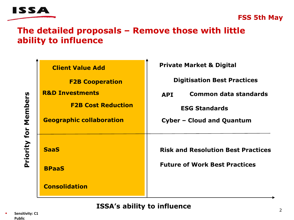

## **The detailed proposals – Remove those with little ability to influence**

|              | <b>Client Value Add</b>         | <b>Private Market &amp; Digital</b>        |
|--------------|---------------------------------|--------------------------------------------|
|              | <b>F2B Cooperation</b>          | <b>Digitisation Best Practices</b>         |
| Members      | <b>R&amp;D Investments</b>      | <b>Common data standards</b><br><b>API</b> |
|              | <b>F2B Cost Reduction</b>       | <b>ESG Standards</b>                       |
|              | <b>Geographic collaboration</b> | <b>Cyber - Cloud and Quantum</b>           |
|              |                                 |                                            |
| Priority for | <b>SaaS</b>                     | <b>Risk and Resolution Best Practices</b>  |
|              | <b>BPaaS</b>                    | <b>Future of Work Best Practices</b>       |
|              | <b>Consolidation</b>            |                                            |

**ISSA's ability to influence**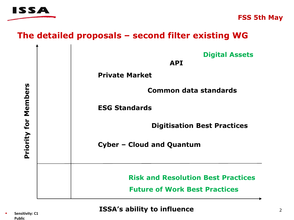

# **The detailed proposals – second filter existing WG**

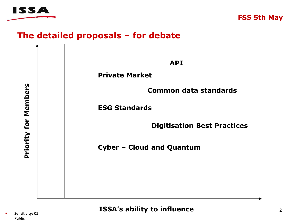

# **The detailed proposals – for debate**

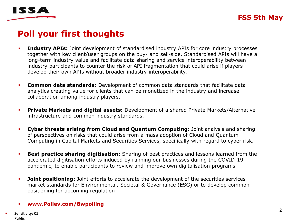



# **Poll your first thoughts**

- **Industry APIs:** Joint development of standardised industry APIs for core industry processes together with key client/user groups on the buy- and sell-side. Standardised APIs will have a long-term industry value and facilitate data sharing and service interoperability between industry participants to counter the risk of API fragmentation that could arise if players develop their own APIs without broader industry interoperability.
- **Common data standards:** Development of common data standards that facilitate data analytics creating value for clients that can be monetized in the industry and increase collaboration among industry players.
- **Private Markets and digital assets:** Development of a shared Private Markets/Alternative infrastructure and common industry standards.
- **Cyber threats arising from Cloud and Quantum Computing:** Joint analysis and sharing of perspectives on risks that could arise from a mass adoption of Cloud and Quantum Computing in Capital Markets and Securities Services, specifically with regard to cyber risk.
- **Best practice sharing digitisation:** Sharing of best practices and lessons learned from the accelerated digitisation efforts induced by running our businesses during the COVID-19 pandemic, to enable participants to review and improve own digitalisation programs.
- **· Joint positioning:** Joint efforts to accelerate the development of the securities services market standards for Environmental, Societal & Governance (ESG) or to develop common positioning for upcoming regulation

#### ▪ **www.Pollev.com/8wpolling**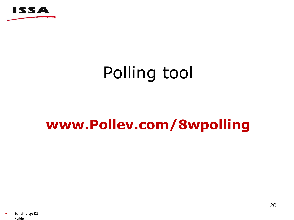

# Polling tool

# **www.Pollev.com/8wpolling**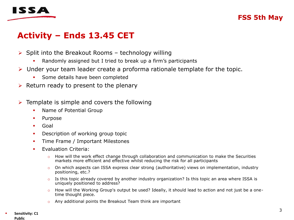

## **Activity – Ends 13.45 CET**

- $\triangleright$  Split into the Breakout Rooms technology willing
	- Randomly assigned but I tried to break up a firm's participants
- ➢ Under your team leader create a proforma rationale template for the topic.
	- **•** Some details have been completed
- $\triangleright$  Return ready to present to the plenary
- $\triangleright$  Template is simple and covers the following
	- **Name of Potential Group**
	- Purpose
	- Goal
	- **•** Description of working group topic
	- **•** Time Frame / Important Milestones
	- **•** Evaluation Criteria:
		- $\circ$  How will the work effect change through collaboration and communication to make the Securities markets more efficient and effective whilst reducing the risk for all participants
		- $\circ$  On which aspects can ISSA express clear strong (authoritative) views on implementation, industry positioning, etc.?
		- $\circ$  Is this topic already covered by another industry organization? Is this topic an area where ISSA is uniquely positioned to address?
		- o How will the Working Group's output be used? Ideally, it should lead to action and not just be a onetime thought piece.
		- o Any additional points the Breakout Team think are important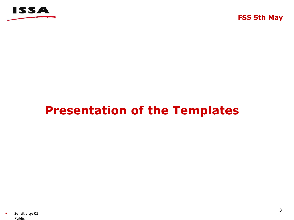

# **Presentation of the Templates**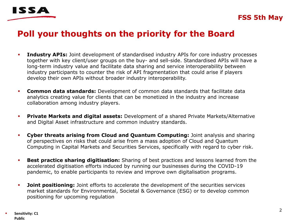

# **Poll your thoughts on the priority for the Board**

- **EXPLOSITY APIS:** Joint development of standardised industry APIs for core industry processes together with key client/user groups on the buy- and sell-side. Standardised APIs will have a long-term industry value and facilitate data sharing and service interoperability between industry participants to counter the risk of API fragmentation that could arise if players develop their own APIs without broader industry interoperability.
- **Common data standards:** Development of common data standards that facilitate data analytics creating value for clients that can be monetized in the industry and increase collaboration among industry players.
- **Private Markets and digital assets:** Development of a shared Private Markets/Alternative and Digital Asset infrastructure and common industry standards.
- **Cyber threats arising from Cloud and Quantum Computing:** Joint analysis and sharing of perspectives on risks that could arise from a mass adoption of Cloud and Quantum Computing in Capital Markets and Securities Services, specifically with regard to cyber risk.
- **Best practice sharing digitisation:** Sharing of best practices and lessons learned from the accelerated digitisation efforts induced by running our businesses during the COVID-19 pandemic, to enable participants to review and improve own digitalisation programs.
- **· Joint positioning:** Joint efforts to accelerate the development of the securities services market standards for Environmental, Societal & Governance (ESG) or to develop common positioning for upcoming regulation